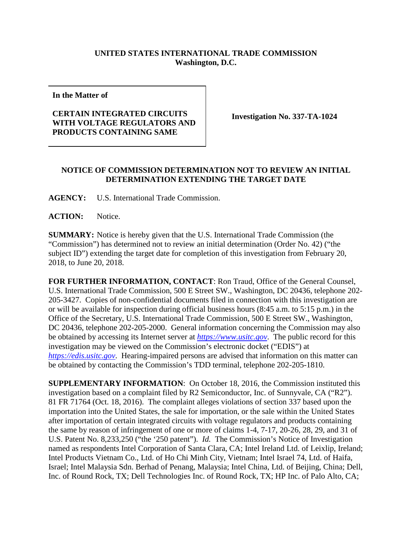## **UNITED STATES INTERNATIONAL TRADE COMMISSION Washington, D.C.**

**In the Matter of**

## **CERTAIN INTEGRATED CIRCUITS WITH VOLTAGE REGULATORS AND PRODUCTS CONTAINING SAME**

**Investigation No. 337-TA-1024**

## **NOTICE OF COMMISSION DETERMINATION NOT TO REVIEW AN INITIAL DETERMINATION EXTENDING THE TARGET DATE**

**AGENCY:** U.S. International Trade Commission.

**ACTION:** Notice.

**SUMMARY:** Notice is hereby given that the U.S. International Trade Commission (the "Commission") has determined not to review an initial determination (Order No. 42) ("the subject ID") extending the target date for completion of this investigation from February 20, 2018, to June 20, 2018.

**FOR FURTHER INFORMATION, CONTACT**: Ron Traud, Office of the General Counsel, U.S. International Trade Commission, 500 E Street SW., Washington, DC 20436, telephone 202- 205-3427. Copies of non-confidential documents filed in connection with this investigation are or will be available for inspection during official business hours (8:45 a.m. to 5:15 p.m.) in the Office of the Secretary, U.S. International Trade Commission, 500 E Street SW., Washington, DC 20436, telephone 202-205-2000. General information concerning the Commission may also be obtained by accessing its Internet server at *[https://www.usitc.gov](https://www.usitc.gov/)*. The public record for this investigation may be viewed on the Commission's electronic docket ("EDIS") at *[https://edis.usitc.gov](https://edis.usitc.gov/)*. Hearing-impaired persons are advised that information on this matter can be obtained by contacting the Commission's TDD terminal, telephone 202-205-1810.

**SUPPLEMENTARY INFORMATION**: On October 18, 2016, the Commission instituted this investigation based on a complaint filed by R2 Semiconductor, Inc. of Sunnyvale, CA ("R2"). 81 FR 71764 (Oct. 18, 2016). The complaint alleges violations of section 337 based upon the importation into the United States, the sale for importation, or the sale within the United States after importation of certain integrated circuits with voltage regulators and products containing the same by reason of infringement of one or more of claims 1-4, 7-17, 20-26, 28, 29, and 31 of U.S. Patent No. 8,233,250 ("the '250 patent"). *Id.* The Commission's Notice of Investigation named as respondents Intel Corporation of Santa Clara, CA; Intel Ireland Ltd. of Leixlip, Ireland; Intel Products Vietnam Co., Ltd. of Ho Chi Minh City, Vietnam; Intel Israel 74, Ltd. of Haifa, Israel; Intel Malaysia Sdn. Berhad of Penang, Malaysia; Intel China, Ltd. of Beijing, China; Dell, Inc. of Round Rock, TX; Dell Technologies Inc. of Round Rock, TX; HP Inc. of Palo Alto, CA;